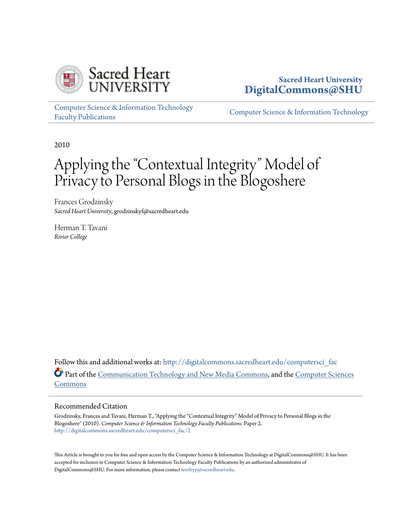

# **Sacred Heart University [DigitalCommons@SHU](http://digitalcommons.sacredheart.edu?utm_source=digitalcommons.sacredheart.edu%2Fcomputersci_fac%2F2&utm_medium=PDF&utm_campaign=PDFCoverPages)**

[Computer Science & Information Technology](http://digitalcommons.sacredheart.edu/computersci_fac?utm_source=digitalcommons.sacredheart.edu%2Fcomputersci_fac%2F2&utm_medium=PDF&utm_campaign=PDFCoverPages) [Faculty Publications](http://digitalcommons.sacredheart.edu/computersci_fac?utm_source=digitalcommons.sacredheart.edu%2Fcomputersci_fac%2F2&utm_medium=PDF&utm_campaign=PDFCoverPages)

[Computer Science & Information Technology](http://digitalcommons.sacredheart.edu/computersci?utm_source=digitalcommons.sacredheart.edu%2Fcomputersci_fac%2F2&utm_medium=PDF&utm_campaign=PDFCoverPages)

2010

# Applying the "Contextual Integrity" Model of Privacy to Personal Blogs in the Blogoshere

Frances Grodzinsky *Sacred Heart University*, grodzinskyf@sacredheart.edu

Herman T. Tavani *Rivier College*

Follow this and additional works at: [http://digitalcommons.sacredheart.edu/computersci\\_fac](http://digitalcommons.sacredheart.edu/computersci_fac?utm_source=digitalcommons.sacredheart.edu%2Fcomputersci_fac%2F2&utm_medium=PDF&utm_campaign=PDFCoverPages) Part of the [Communication Technology and New Media Commons](http://network.bepress.com/hgg/discipline/327?utm_source=digitalcommons.sacredheart.edu%2Fcomputersci_fac%2F2&utm_medium=PDF&utm_campaign=PDFCoverPages), and the [Computer Sciences](http://network.bepress.com/hgg/discipline/142?utm_source=digitalcommons.sacredheart.edu%2Fcomputersci_fac%2F2&utm_medium=PDF&utm_campaign=PDFCoverPages) [Commons](http://network.bepress.com/hgg/discipline/142?utm_source=digitalcommons.sacredheart.edu%2Fcomputersci_fac%2F2&utm_medium=PDF&utm_campaign=PDFCoverPages)

#### Recommended Citation

Grodzinsky, Frances and Tavani, Herman T., "Applying the "Contextual Integrity" Model of Privacy to Personal Blogs in the Blogoshere" (2010). *Computer Science & Information Technology Faculty Publications.* Paper 2. [http://digitalcommons.sacredheart.edu/computersci\\_fac/2](http://digitalcommons.sacredheart.edu/computersci_fac/2?utm_source=digitalcommons.sacredheart.edu%2Fcomputersci_fac%2F2&utm_medium=PDF&utm_campaign=PDFCoverPages)

This Article is brought to you for free and open access by the Computer Science & Information Technology at DigitalCommons@SHU. It has been accepted for inclusion in Computer Science & Information Technology Faculty Publications by an authorized administrator of DigitalCommons@SHU. For more information, please contact [ferribyp@sacredheart.edu](mailto:ferribyp@sacredheart.edu).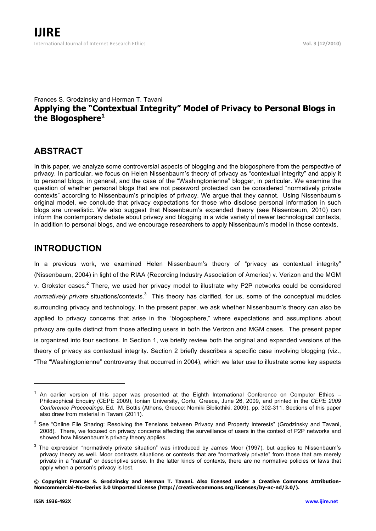#### Frances S. Grodzinsky and Herman T. Tavani **Applying the "Contextual Integrity" Model of Privacy to Personal Blogs in the Blogosphere<sup>1</sup>**

# **ABSTRACT**

In this paper, we analyze some controversial aspects of blogging and the blogosphere from the perspective of privacy. In particular, we focus on Helen Nissenbaum's theory of privacy as "contextual integrity" and apply it to personal blogs, in general, and the case of the "Washingtonienne" blogger, in particular. We examine the question of whether personal blogs that are not password protected can be considered "normatively private contexts" according to Nissenbaum's principles of privacy. We argue that they cannot. Using Nissenbaum's original model, we conclude that privacy expectations for those who disclose personal information in such blogs are unrealistic. We also suggest that Nissenbaum's expanded theory (see Nissenbaum, 2010) can inform the contemporary debate about privacy and blogging in a wide variety of newer technological contexts, in addition to personal blogs, and we encourage researchers to apply Nissenbaum's model in those contexts.

## **INTRODUCTION**

In a previous work, we examined Helen Nissenbaum's theory of "privacy as contextual integrity" (Nissenbaum, 2004) in light of the RIAA (Recording Industry Association of America) v. Verizon and the MGM v. Grokster cases.<sup>2</sup> There, we used her privacy model to illustrate why P2P networks could be considered normatively private situations/contexts.<sup>3</sup> This theory has clarified, for us, some of the conceptual muddles surrounding privacy and technology. In the present paper, we ask whether Nissenbaum's theory can also be applied to privacy concerns that arise in the "blogosphere," where expectations and assumptions about privacy are quite distinct from those affecting users in both the Verizon and MGM cases. The present paper is organized into four sections. In Section 1, we briefly review both the original and expanded versions of the theory of privacy as contextual integrity. Section 2 briefly describes a specific case involving blogging (viz., "The "Washingtonienne" controversy that occurred in 2004), which we later use to illustrate some key aspects

-

 $1$  An earlier version of this paper was presented at the Eighth International Conference on Computer Ethics  $-$ Philosophical Enquiry (CEPE 2009), Ionian University, Corfu, Greece, June 26, 2009, and printed in the *CEPE 2009 Conference Proceedings*. Ed. M. Bottis (Athens, Greece: Nomiki Bibliothiki, 2009), pp. 302-311. Sections of this paper also draw from material in Tavani (2011).

<sup>&</sup>lt;sup>2</sup> See "Online File Sharing: Resolving the Tensions between Privacy and Property Interests" (Grodzinsky and Tavani, 2008). There, we focused on privacy concerns affecting the surveillance of users in the context of P2P networks and showed how Nissenbaum's privacy theory applies.

 $3$  The expression "normatively private situation" was introduced by James Moor (1997), but applies to Nissenbaum's privacy theory as well. Moor contrasts situations or contexts that are "normatively private" from those that are merely private in a "natural" or descriptive sense. In the latter kinds of contexts, there are no normative policies or laws that apply when a person's privacy is lost.

**<sup>©</sup> Copyright Frances S. Grodzinsky and Herman T. Tavani. Also licensed under a Creative Commons Attribution-Noncommercial-No-Derivs 3.0 Unported License (http://creativecommons.org/licenses/by-nc-nd/3.0/).**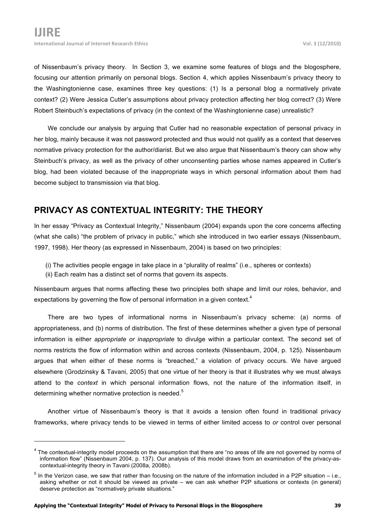of Nissenbaum's privacy theory. In Section 3, we examine some features of blogs and the blogosphere, focusing our attention primarily on personal blogs. Section 4, which applies Nissenbaum's privacy theory to the Washingtonienne case, examines three key questions: (1) Is a personal blog a normatively private context? (2) Were Jessica Cutler's assumptions about privacy protection affecting her blog correct? (3) Were Robert Steinbuch's expectations of privacy (in the context of the Washingtonienne case) unrealistic?

We conclude our analysis by arguing that Cutler had no reasonable expectation of personal privacy in her blog, mainly because it was not password protected and thus would not qualify as a context that deserves normative privacy protection for the author/diarist. But we also argue that Nissenbaum's theory can show why Steinbuch's privacy, as well as the privacy of other unconsenting parties whose names appeared in Cutler's blog, had been violated because of the inappropriate ways in which personal information about them had become subject to transmission via that blog.

# **PRIVACY AS CONTEXTUAL INTEGRITY: THE THEORY**

In her essay "Privacy as Contextual Integrity," Nissenbaum (2004) expands upon the core concerns affecting (what she calls) "the problem of privacy in public," which she introduced in two earlier essays (Nissenbaum, 1997, 1998). Her theory (as expressed in Nissenbaum, 2004) is based on two principles:

- (i) The activities people engage in take place in a "plurality of realms" (i.e., spheres or contexts)
- (ii) Each realm has a distinct set of norms that govern its aspects.

Nissenbaum argues that norms affecting these two principles both shape and limit our roles, behavior, and expectations by governing the flow of personal information in a given context.<sup>4</sup>

There are two types of informational norms in Nissenbaum's privacy scheme: (a) norms of appropriateness, and (b) norms of distribution. The first of these determines whether a given type of personal information is either *appropriate or inappropriate* to divulge within a particular context. The second set of norms restricts the flow of information within and across contexts (Nissenbaum, 2004, p. 125). Nissenbaum argues that when either of these norms is "breached," a violation of privacy occurs. We have argued elsewhere (Grodzinsky & Tavani, 2005) that one virtue of her theory is that it illustrates why we must always attend to the *context* in which personal information flows, not the nature of the information itself, in determining whether normative protection is needed.<sup>5</sup>

Another virtue of Nissenbaum's theory is that it avoids a tension often found in traditional privacy frameworks, where privacy tends to be viewed in terms of either limited access to *or* control over personal

-

<sup>&</sup>lt;sup>4</sup> The contextual-integrity model proceeds on the assumption that there are "no areas of life are not governed by norms of information flow" (Nissenbaum 2004, p. 137). Our analysis of this model draws from an examination of the privacy-ascontextual-integrity theory in Tavani (2008a, 2008b).

 $<sup>5</sup>$  In the Verizon case, we saw that rather than focusing on the nature of the information included in a P2P situation – i.e.,</sup> asking whether or not it should be viewed as private – we can ask whether P2P situations or contexts (in general) deserve protection as "normatively private situations."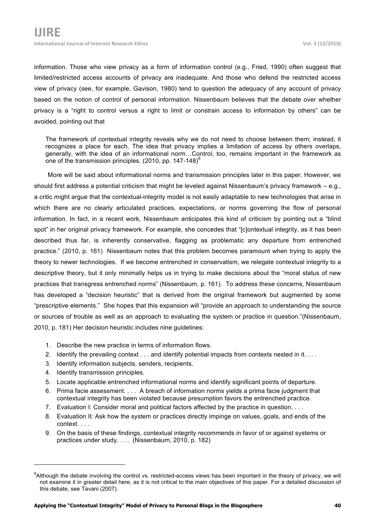information. Those who view privacy as a form of information control (e.g., Fried, 1990) often suggest that limited/restricted access accounts of privacy are inadequate. And those who defend the restricted access view of privacy (see, for example, Gavison, 1980) tend to question the adequacy of any account of privacy based on the notion of control of personal information. Nissenbaum believes that the debate over whether privacy is a "right to control versus a right to limit or constrain access to information by others" can be avoided, pointing out that

The framework of contextual integrity reveals why we do not need to choose between them; instead, it recognizes a place for each. The idea that privacy implies a limitation of access by others overlaps, generally, with the idea of an informational norm…Control, too, remains important in the framework as one of the transmission principles.  $(2010, pp. 147-148)^{\circ}$ 

More will be said about informational norms and transmission principles later in this paper. However, we should first address a potential criticism that might be leveled against Nissenbaum's privacy framework – e.g., a critic might argue that the contextual-integrity model is not easily adaptable to new technologies that arise in which there are no clearly articulated practices, expectations, or norms governing the flow of personal information. In fact, in a recent work, Nissenbaum anticipates this kind of criticism by pointing out a "blind spot" in her original privacy framework. For example, she concedes that "[c]ontextual integrity, as it has been described thus far, is inherently conservative, flagging as problematic any departure from entrenched practice." (2010, p. 161) Nissenbaum notes that this problem becomes paramount when trying to apply the theory to newer technologies. If we become entrenched in conservatism, we relegate contextual integrity to a descriptive theory, but it only minimally helps us in trying to make decisions about the "moral status of new practices that transgress entrenched norms" (Nissenbaum, p. 161). To address these concerns, Nissenbaum has developed a "decision heuristic" that is derived from the original framework but augmented by some "prescriptive elements." She hopes that this expansion will "provide an approach to understanding the source or sources of trouble as well as an approach to evaluating the system or practice in question."(Nissenbaum, 2010, p. 181) Her decision heuristic includes nine guidelines:

- 1. Describe the new practice in terms of information flows.
- 2. Identify the prevailing context . . . and identify potential impacts from contexts nested in it. . . .
- 3. Identify information subjects, senders, recipients.
- 4. Identify transmission principles.

-

- 5. Locate applicable entrenched informational norms and identify significant points of departure.
- 6. Prima facie assessment. . . . A breach of information norms yields a prima facie judgment that contextual integrity has been violated because presumption favors the entrenched practice.
- 7. Evaluation I: Consider moral and political factors affected by the practice in question. . . .
- 8. Evaluation II: Ask how the system or practices directly impinge on values, goals, and ends of the context. . . .
- 9. On the basis of these findings, contextual integrity recommends in favor of or against systems or practices under study. . . . (Nissenbaum, 2010, p. 182)

 $6$ Although the debate involving the control vs. restricted-access views has been important in the theory of privacy, we will not examine it in greater detail here, as it is not critical to the main objectives of this paper. For a detailed discussion of this debate, see Tavani (2007).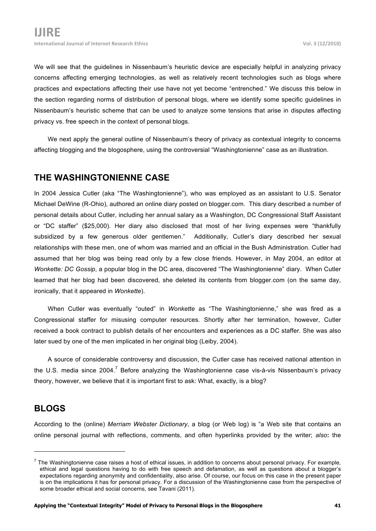We will see that the guidelines in Nissenbaum's heuristic device are especially helpful in analyzing privacy concerns affecting emerging technologies, as well as relatively recent technologies such as blogs where practices and expectations affecting their use have not yet become "entrenched." We discuss this below in the section regarding norms of distribution of personal blogs, where we identify some specific guidelines in Nissenbaum's heuristic scheme that can be used to analyze some tensions that arise in disputes affecting privacy vs. free speech in the context of personal blogs.

We next apply the general outline of Nissenbaum's theory of privacy as contextual integrity to concerns affecting blogging and the blogosphere, using the controversial "Washingtonienne" case as an illustration.

#### **THE WASHINGTONIENNE CASE**

In 2004 Jessica Cutler (aka "The Washingtonienne"), who was employed as an assistant to U.S. Senator Michael DeWine (R-Ohio), authored an online diary posted on blogger.com. This diary described a number of personal details about Cutler, including her annual salary as a Washington, DC Congressional Staff Assistant or "DC staffer" (\$25,000). Her diary also disclosed that most of her living expenses were "thankfully subsidized by a few generous older gentlemen." Additionally, Cutler's diary described her sexual relationships with these men, one of whom was married and an official in the Bush Administration. Cutler had assumed that her blog was being read only by a few close friends. However, in May 2004, an editor at *Wonkette: DC Gossip*, a popular blog in the DC area, discovered "The Washingtonienne" diary. When Cutler learned that her blog had been discovered, she deleted its contents from blogger.com (on the same day, ironically, that it appeared in *Wonkette*).

When Cutler was eventually "outed" in *Wonkette* as "The Washingtonienne," she was fired as a Congressional staffer for misusing computer resources. Shortly after her termination, however, Cutler received a book contract to publish details of her encounters and experiences as a DC staffer. She was also later sued by one of the men implicated in her original blog (Leiby, 2004).

A source of considerable controversy and discussion, the Cutler case has received national attention in the U.S. media since 2004.<sup>7</sup> Before analyzing the Washingtonienne case vis-à-vis Nissenbaum's privacy theory, however, we believe that it is important first to ask: What, exactly, is a blog?

#### **BLOGS**

-

According to the (online) *Merriam Webster Dictionary*, a blog (or Web log) is "a Web site that contains an online personal journal with reflections, comments, and often hyperlinks provided by the writer; *also***:** the

 $<sup>7</sup>$  The Washingtonienne case raises a host of ethical issues, in addition to concerns about personal privacy. For example,</sup> ethical and legal questions having to do with free speech and defamation, as well as questions about a blogger's expectations regarding anonymity and confidentiality, also arise. Of course, our focus on this case in the present paper is on the implications it has for personal privacy. For a discussion of the Washingtonienne case from the perspective of some broader ethical and social concerns, see Tavani (2011).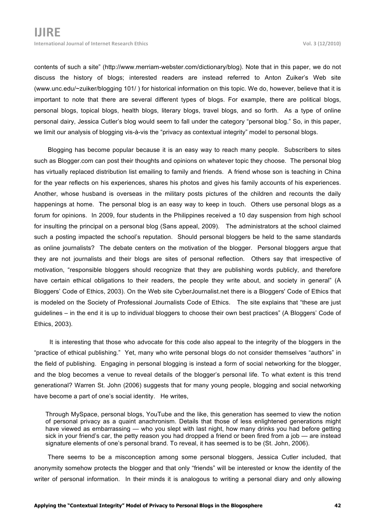contents of such a site" (http://www.merriam-webster.com/dictionary/blog). Note that in this paper, we do not discuss the history of blogs; interested readers are instead referred to Anton Zuiker's Web site (www.unc.edu/~zuiker/blogging 101/ ) for historical information on this topic. We do, however, believe that it is important to note that there are several different types of blogs. For example, there are political blogs, personal blogs, topical blogs, health blogs, literary blogs, travel blogs, and so forth. As a type of online personal dairy, Jessica Cutler's blog would seem to fall under the category "personal blog." So, in this paper, we limit our analysis of blogging vis-à-vis the "privacy as contextual integrity" model to personal blogs.

Blogging has become popular because it is an easy way to reach many people. Subscribers to sites such as Blogger.com can post their thoughts and opinions on whatever topic they choose. The personal blog has virtually replaced distribution list emailing to family and friends. A friend whose son is teaching in China for the year reflects on his experiences, shares his photos and gives his family accounts of his experiences. Another, whose husband is overseas in the military posts pictures of the children and recounts the daily happenings at home. The personal blog is an easy way to keep in touch. Others use personal blogs as a forum for opinions. In 2009, four students in the Philippines received a 10 day suspension from high school for insulting the principal on a personal blog (Sans appeal, 2009). The administrators at the school claimed such a posting impacted the school's reputation. Should personal bloggers be held to the same standards as online journalists? The debate centers on the motivation of the blogger. Personal bloggers argue that they are not journalists and their blogs are sites of personal reflection. Others say that irrespective of motivation, "responsible bloggers should recognize that they are publishing words publicly, and therefore have certain ethical obligations to their readers, the people they write about, and society in general" (A Bloggers' Code of Ethics, 2003). On the Web site CyberJournalist.net there is a Bloggers' Code of Ethics that is modeled on the Society of Professional Journalists Code of Ethics. The site explains that "these are just guidelines – in the end it is up to individual bloggers to choose their own best practices" (A Bloggers' Code of Ethics, 2003).

 It is interesting that those who advocate for this code also appeal to the integrity of the bloggers in the "practice of ethical publishing." Yet, many who write personal blogs do not consider themselves "authors" in the field of publishing. Engaging in personal blogging is instead a form of social networking for the blogger, and the blog becomes a venue to reveal details of the blogger's personal life. To what extent is this trend generational? Warren St. John (2006) suggests that for many young people, blogging and social networking have become a part of one's social identity. He writes,

Through MySpace, personal blogs, YouTube and the like, this generation has seemed to view the notion of personal privacy as a quaint anachronism. Details that those of less enlightened generations might have viewed as embarrassing — who you slept with last night, how many drinks you had before getting sick in your friend's car, the petty reason you had dropped a friend or been fired from a job — are instead signature elements of one's personal brand. To reveal, it has seemed is to be (St. John, 2006).

There seems to be a misconception among some personal bloggers, Jessica Cutler included, that anonymity somehow protects the blogger and that only "friends" will be interested or know the identity of the writer of personal information. In their minds it is analogous to writing a personal diary and only allowing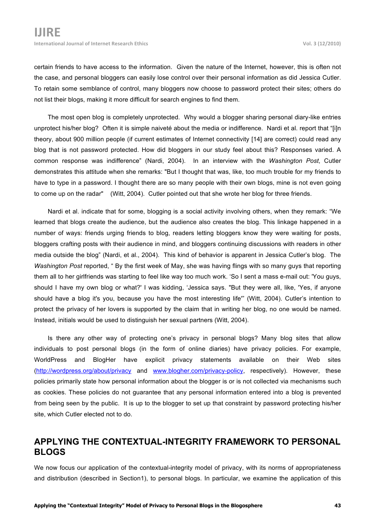certain friends to have access to the information. Given the nature of the Internet, however, this is often not the case, and personal bloggers can easily lose control over their personal information as did Jessica Cutler. To retain some semblance of control, many bloggers now choose to password protect their sites; others do not list their blogs, making it more difficult for search engines to find them.

The most open blog is completely unprotected. Why would a blogger sharing personal diary-like entries unprotect his/her blog? Often it is simple naiveté about the media or indifference. Nardi et al. report that "[i]n theory, about 900 million people (if current estimates of Internet connectivity [14] are correct) could read any blog that is not password protected. How did bloggers in our study feel about this? Responses varied. A common response was indifference" (Nardi, 2004). In an interview with the *Washington Post*, Cutler demonstrates this attitude when she remarks: "But I thought that was, like, too much trouble for my friends to have to type in a password. I thought there are so many people with their own blogs, mine is not even going to come up on the radar" (Witt, 2004). Cutler pointed out that she wrote her blog for three friends.

Nardi et al. indicate that for some, blogging is a social activity involving others, when they remark: "We learned that blogs create the audience, but the audience also creates the blog. This linkage happened in a number of ways: friends urging friends to blog, readers letting bloggers know they were waiting for posts, bloggers crafting posts with their audience in mind, and bloggers continuing discussions with readers in other media outside the blog" (Nardi, et al., 2004). This kind of behavior is apparent in Jessica Cutler's blog. The *Washington Post* reported, " By the first week of May, she was having flings with so many guys that reporting them all to her girlfriends was starting to feel like way too much work. 'So I sent a mass e-mail out: 'You guys, should I have my own blog or what?' I was kidding, 'Jessica says. "But they were all, like, 'Yes, if anyone should have a blog it's you, because you have the most interesting life'" (Witt, 2004). Cutler's intention to protect the privacy of her lovers is supported by the claim that in writing her blog, no one would be named. Instead, initials would be used to distinguish her sexual partners (Witt, 2004).

Is there any other way of protecting one's privacy in personal blogs? Many blog sites that allow individuals to post personal blogs (in the form of online diaries) have privacy policies. For example, WorldPress and BlogHer have explicit privacy statements available on their Web sites (http://wordpress.org/about/privacy and www.blogher.com/privacy-policy, respectively). However, these policies primarily state how personal information about the blogger is or is not collected via mechanisms such as cookies. These policies do not guarantee that any personal information entered into a blog is prevented from being seen by the public. It is up to the blogger to set up that constraint by password protecting his/her site, which Cutler elected not to do.

## **APPLYING THE CONTEXTUAL-INTEGRITY FRAMEWORK TO PERSONAL BLOGS**

We now focus our application of the contextual-integrity model of privacy, with its norms of appropriateness and distribution (described in Section1), to personal blogs. In particular, we examine the application of this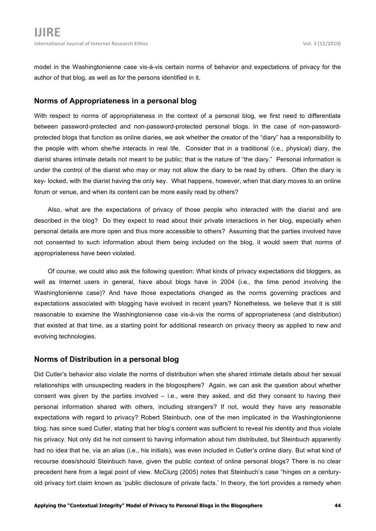model in the Washingtonienne case vis-à-vis certain norms of behavior and expectations of privacy for the author of that blog, as well as for the persons identified in it.

#### **Norms of Appropriateness in a personal blog**

With respect to norms of appropriateness in the context of a personal blog, we first need to differentiate between password-protected and non-password-protected personal blogs. In the case of non-passwordprotected blogs that function as online diaries, we ask whether the creator of the "diary" has a responsibility to the people with whom she/he interacts in real life. Consider that in a traditional (i.e., physical) diary, the diarist shares intimate details not meant to be public; that is the nature of "the diary." Personal information is under the control of the diarist who may or may not allow the diary to be read by others. Often the diary is key- locked, with the diarist having the only key. What happens, however, when that diary moves to an online forum or venue, and when its content can be more easily read by others?

Also, what are the expectations of privacy of those people who interacted with the diarist and are described in the blog? Do they expect to read about their private interactions in her blog, especially when personal details are more open and thus more accessible to others? Assuming that the parties involved have not consented to such information about them being included on the blog, it would seem that norms of appropriateness have been violated.

Of course, we could also ask the following question: What kinds of privacy expectations did bloggers, as well as Internet users in general, have about blogs have in 2004 (i.e., the time period involving the Washingtonienne case)? And have those expectations changed as the norms governing practices and expectations associated with blogging have evolved in recent years? Nonetheless, we believe that it is still reasonable to examine the Washingtonienne case vis-à-vis the norms of appropriateness (and distribution) that existed at that time, as a starting point for additional research on privacy theory as applied to new and evolving technologies.

#### **Norms of Distribution in a personal blog**

Did Cutler's behavior also violate the norms of distribution when she shared intimate details about her sexual relationships with unsuspecting readers in the blogosphere? Again, we can ask the question about whether consent was given by the parties involved – i.e., were they asked, and did they consent to having their personal information shared with others, including strangers? If not, would they have any reasonable expectations with regard to privacy? Robert Steinbuch, one of the men implicated in the Washingtonienne blog, has since sued Cutler, stating that her blog's content was sufficient to reveal his identity and thus violate his privacy. Not only did he not consent to having information about him distributed, but Steinbuch apparently had no idea that he, via an alias (i.e., his initials), was even included in Cutler's online diary. But what kind of recourse does/should Steinbuch have, given the public context of online personal blogs? There is no clear precedent here from a legal point of view. McClurg (2005) notes that Steinbuch's case "hinges on a centuryold privacy tort claim known as 'public disclosure of private facts.' In theory, the tort provides a remedy when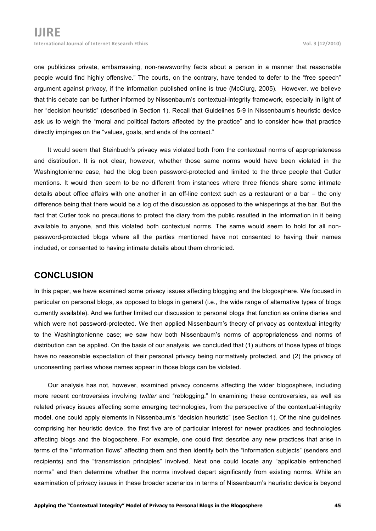one publicizes private, embarrassing, non-newsworthy facts about a person in a manner that reasonable people would find highly offensive." The courts, on the contrary, have tended to defer to the "free speech" argument against privacy, if the information published online is true (McClurg, 2005). However, we believe that this debate can be further informed by Nissenbaum's contextual-integrity framework, especially in light of her "decision heuristic" (described in Section 1). Recall that Guidelines 5-9 in Nissenbaum's heuristic device ask us to weigh the "moral and political factors affected by the practice" and to consider how that practice directly impinges on the "values, goals, and ends of the context."

It would seem that Steinbuch's privacy was violated both from the contextual norms of appropriateness and distribution. It is not clear, however, whether those same norms would have been violated in the Washingtonienne case, had the blog been password-protected and limited to the three people that Cutler mentions. It would then seem to be no different from instances where three friends share some intimate details about office affairs with one another in an off-line context such as a restaurant or a bar – the only difference being that there would be a log of the discussion as opposed to the whisperings at the bar. But the fact that Cutler took no precautions to protect the diary from the public resulted in the information in it being available to anyone, and this violated both contextual norms. The same would seem to hold for all nonpassword-protected blogs where all the parties mentioned have not consented to having their names included, or consented to having intimate details about them chronicled.

#### **CONCLUSION**

In this paper, we have examined some privacy issues affecting blogging and the blogosphere. We focused in particular on personal blogs, as opposed to blogs in general (i.e., the wide range of alternative types of blogs currently available). And we further limited our discussion to personal blogs that function as online diaries and which were not password-protected. We then applied Nissenbaum's theory of privacy as contextual integrity to the Washingtonienne case; we saw how both Nissenbaum's norms of appropriateness and norms of distribution can be applied. On the basis of our analysis, we concluded that (1) authors of those types of blogs have no reasonable expectation of their personal privacy being normatively protected, and (2) the privacy of unconsenting parties whose names appear in those blogs can be violated.

Our analysis has not, however, examined privacy concerns affecting the wider blogosphere, including more recent controversies involving *twitter* and "reblogging." In examining these controversies, as well as related privacy issues affecting some emerging technologies, from the perspective of the contextual-integrity model, one could apply elements in Nissenbaum's "decision heuristic" (see Section 1). Of the nine guidelines comprising her heuristic device, the first five are of particular interest for newer practices and technologies affecting blogs and the blogosphere. For example, one could first describe any new practices that arise in terms of the "information flows" affecting them and then identify both the "information subjects" (senders and recipients) and the "transmission principles" involved. Next one could locate any "applicable entrenched norms" and then determine whether the norms involved depart significantly from existing norms. While an examination of privacy issues in these broader scenarios in terms of Nissenbaum's heuristic device is beyond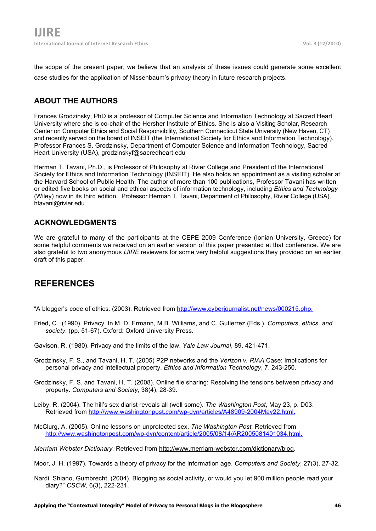the scope of the present paper, we believe that an analysis of these issues could generate some excellent case studies for the application of Nissenbaum's privacy theory in future research projects.

## **ABOUT THE AUTHORS**

Frances Grodzinsky, PhD is a professor of Computer Science and Information Technology at Sacred Heart University where she is co-chair of the Hersher Institute of Ethics. She is also a Visiting Scholar, Research Center on Computer Ethics and Social Responsibility, Southern Connecticut State University (New Haven, CT) and recently served on the board of INSEIT (the International Society for Ethics and Information Technology). Professor Frances S. Grodzinsky, Department of Computer Science and Information Technology, Sacred Heart University (USA), grodzinskyf@sacredheart.edu

Herman T. Tavani, Ph.D., is Professor of Philosophy at Rivier College and President of the International Society for Ethics and Information Technology (INSEIT). He also holds an appointment as a visiting scholar at the Harvard School of Public Health. The author of more than 100 publications, Professor Tavani has written or edited five books on social and ethical aspects of information technology, including *Ethics and Technology* (Wiley) now in its third edition. Professor Herman T. Tavani, Department of Philosophy, Rivier College (USA), htavani@rivier.edu

#### **ACKNOWLEDGMENTS**

We are grateful to many of the participants at the CEPE 2009 Conference (Ionian University, Greece) for some helpful comments we received on an earlier version of this paper presented at that conference. We are also grateful to two anonymous *IJIRE* reviewers for some very helpful suggestions they provided on an earlier draft of this paper.

# **REFERENCES**

"A blogger's code of ethics. (2003). Retrieved from http://www.cyberjournalist.net/news/000215.php.

- Fried, C. (1990). Privacy. In M. D. Ermann, M.B. Williams, and C. Gutierrez (Eds.). *Computers, ethics, and society*. (pp. 51-67). Oxford: Oxford University Press.
- Gavison, R. (1980). Privacy and the limits of the law. *Yale Law Journal*, 89, 421-471.
- Grodzinsky, F. S., and Tavani, H. T. (2005) P2P networks and the *Verizon v. RIAA* Case: Implications for personal privacy and intellectual property. *Ethics and Information Technology*, 7, 243-250.
- Grodzinsky, F. S. and Tavani, H. T. (2008). Online file sharing: Resolving the tensions between privacy and property. *Computers and Society*, 38(4), 28-39.
- Leiby, R. (2004). The hill's sex diarist reveals all (well some). *The Washington Post*, May 23, p. D03. Retrieved from http://www.washingtonpost.com/wp-dyn/articles/A48909-2004May22.html.
- McClurg, A. (2005). Online lessons on unprotected sex. *The Washington Post.* Retrieved from http://www.washingtonpost.com/wp-dyn/content/article/2005/08/14/AR2005081401034.html.
- *Merriam Webster Dictionary.* Retrieved from http://www.merriam-webster.com/dictionary/blog.
- Moor, J. H. (1997). Towards a theory of privacy for the information age. *Computers and Society*, 27(3), 27-32.
- Nardi, Shiano, Gumbrecht, (2004). Blogging as social activity, or would you let 900 million people read your diary?" *CSCW*, 6(3), 222-231.